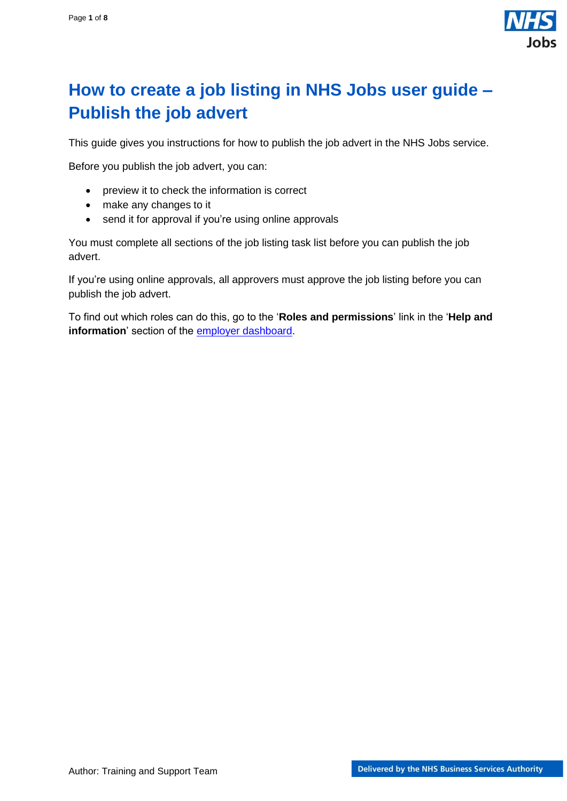

# <span id="page-0-0"></span>**How to create a job listing in NHS Jobs user guide – Publish the job advert**

This guide gives you instructions for how to publish the job advert in the NHS Jobs service.

Before you publish the job advert, you can:

- preview it to check the information is correct
- make any changes to it
- send it for approval if you're using online approvals

You must complete all sections of the job listing task list before you can publish the job advert.

If you're using online approvals, all approvers must approve the job listing before you can publish the job advert.

To find out which roles can do this, go to the '**Roles and permissions**' link in the '**Help and information**' section of the [employer dashboard.](https://beta.jobs.nhs.uk/home)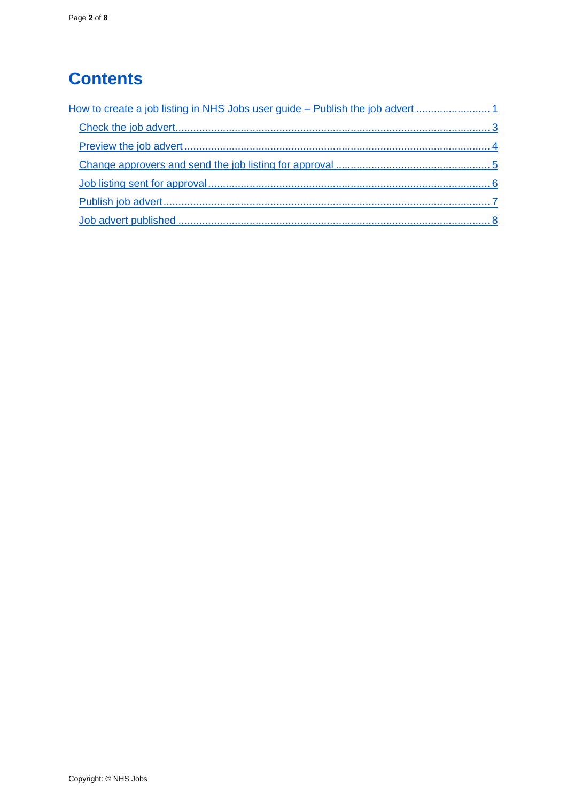# **Contents**

| How to create a job listing in NHS Jobs user guide – Publish the job advert |  |
|-----------------------------------------------------------------------------|--|
|                                                                             |  |
|                                                                             |  |
|                                                                             |  |
|                                                                             |  |
|                                                                             |  |
|                                                                             |  |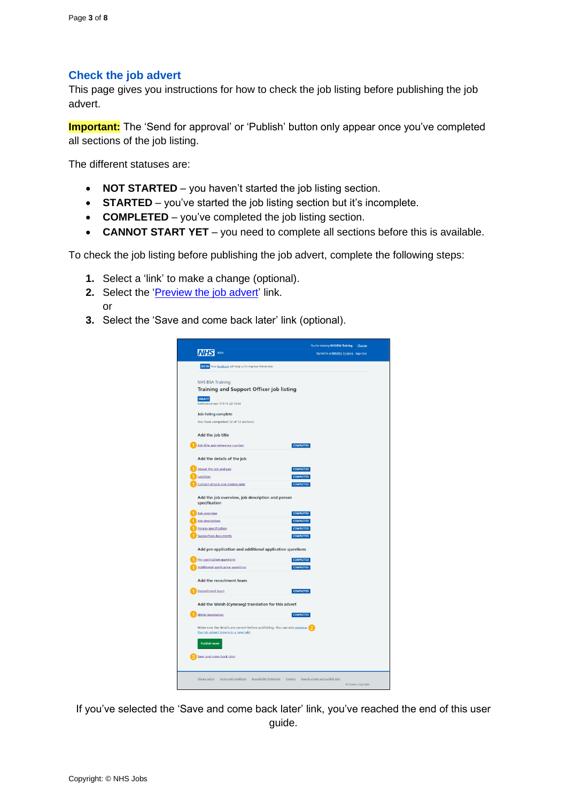## <span id="page-2-0"></span>**Check the job advert**

This page gives you instructions for how to check the job listing before publishing the job advert.

**Important:** The 'Send for approval' or 'Publish' button only appear once you've completed all sections of the job listing.

The different statuses are:

- **NOT STARTED** you haven't started the job listing section.
- **STARTED** you've started the job listing section but it's incomplete.
- **COMPLETED** you've completed the job listing section.
- **CANNOT START YET** you need to complete all sections before this is available.

To check the job listing before publishing the job advert, complete the following steps:

- **1.** Select a 'link' to make a change (optional).
- **2.** Select the '*Preview the job advert'* link. or
- **3.** Select the 'Save and come back later' link (optional).

| Jobs<br><b>NHS</b>                                                                                                | You're viewing NHS BSA Training       | Change |
|-------------------------------------------------------------------------------------------------------------------|---------------------------------------|--------|
|                                                                                                                   | Signed in as NHSBSA Training Sign Out |        |
| BETA Your feedback will help us to improve this service.                                                          |                                       |        |
|                                                                                                                   |                                       |        |
| <b>NHS BSA Training</b>                                                                                           |                                       |        |
| Training and Support Officer job listing                                                                          |                                       |        |
| <b>DRAFT</b><br>Reference no: T1111-22-1234                                                                       |                                       |        |
| <b>Job listing complete</b>                                                                                       |                                       |        |
| You have completed 12 of 12 sections.                                                                             |                                       |        |
| Add the job title                                                                                                 |                                       |        |
| Job title and reference number<br><b>COMPLETED</b>                                                                |                                       |        |
| Add the details of the job                                                                                        |                                       |        |
| About the job and pay<br><b>COMPLETED</b>                                                                         |                                       |        |
| Location<br><b>COMPLETED</b>                                                                                      |                                       |        |
| Contact details and closing date<br><b>COMPLETED</b>                                                              |                                       |        |
| Add the job overview, job description and person<br>specification                                                 |                                       |        |
| Job overview<br><b>COMPLETED</b>                                                                                  |                                       |        |
| Job description<br><b>COMPLETED</b>                                                                               |                                       |        |
| <b>COMPLETED</b><br>Person specification                                                                          |                                       |        |
| Supporting documents<br><b>COMPLETED</b>                                                                          |                                       |        |
|                                                                                                                   |                                       |        |
| Add pre-application and additional application questions                                                          |                                       |        |
| Pre-application questions<br><b>COMPLETED</b>                                                                     |                                       |        |
| <b>COMPLETED</b><br>Additional application questions                                                              |                                       |        |
| Add the recruitment team                                                                                          |                                       |        |
| <b>Recruitment team</b><br><b>COMPLETED</b>                                                                       |                                       |        |
| Add the Welsh (Cymraeg) translation for this advert                                                               |                                       |        |
| <b>Welsh translation</b><br><b>COMPLETED</b>                                                                      |                                       |        |
| Make sure the details are correct before publishing. You can also preview<br>the job advert (opens in a new tab). |                                       |        |
| <b>Publish now</b>                                                                                                |                                       |        |
| Save and come back later                                                                                          |                                       |        |
| Privacy policy Terms and conditions Accessibility Statement Cookies How to create and publish jobs                |                                       |        |

If you've selected the 'Save and come back later' link, you've reached the end of this user guide.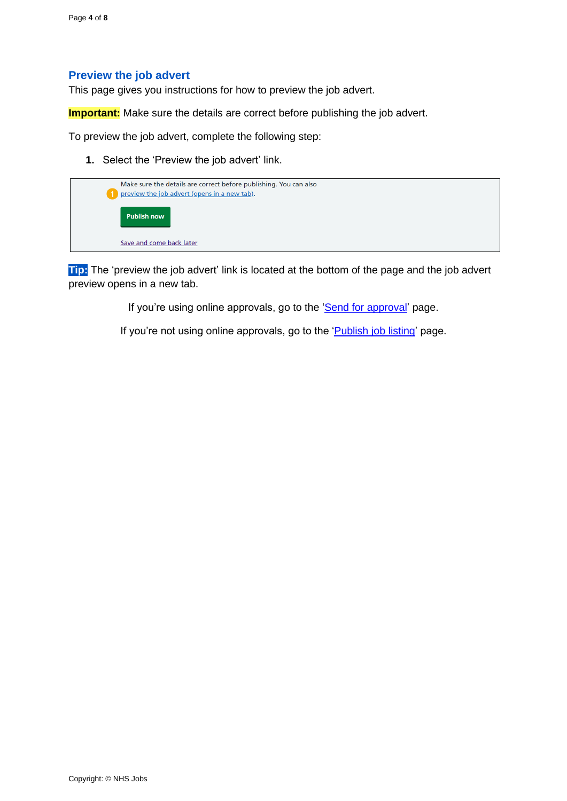#### <span id="page-3-0"></span>**Preview the job advert**

This page gives you instructions for how to preview the job advert.

**Important:** Make sure the details are correct before publishing the job advert.

To preview the job advert, complete the following step:

**1.** Select the 'Preview the job advert' link.



**Tip:** The 'preview the job advert' link is located at the bottom of the page and the job advert preview opens in a new tab.

If you're using online approvals, go to the ['Send for approval'](#page-4-0) page.

If you're not using online approvals, go to the ['Publish job](#page-6-0) listing' page.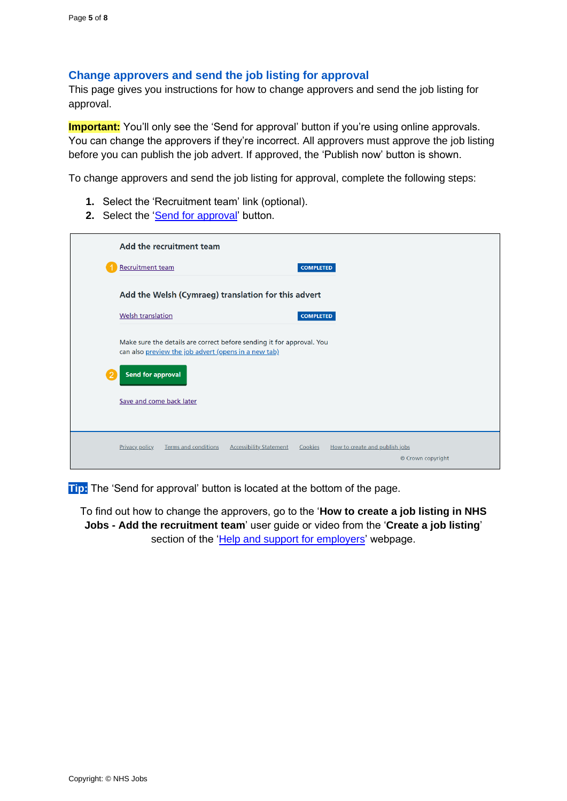### <span id="page-4-0"></span>**Change approvers and send the job listing for approval**

This page gives you instructions for how to change approvers and send the job listing for approval.

**Important:** You'll only see the 'Send for approval' button if you're using online approvals. You can change the approvers if they're incorrect. All approvers must approve the job listing before you can publish the job advert. If approved, the 'Publish now' button is shown.

To change approvers and send the job listing for approval, complete the following steps:

- **1.** Select the 'Recruitment team' link (optional).
- 2. Select the ['Send for approval'](#page-5-0) button.

| Add the recruitment team                                                                                                      |                                                                |  |  |  |  |  |
|-------------------------------------------------------------------------------------------------------------------------------|----------------------------------------------------------------|--|--|--|--|--|
| <b>Recruitment team</b>                                                                                                       | <b>COMPLETED</b>                                               |  |  |  |  |  |
| Add the Welsh (Cymraeg) translation for this advert                                                                           |                                                                |  |  |  |  |  |
| <b>Welsh translation</b>                                                                                                      | <b>COMPLETED</b>                                               |  |  |  |  |  |
| Make sure the details are correct before sending it for approval. You<br>can also preview the job advert (opens in a new tab) |                                                                |  |  |  |  |  |
| <b>Send for approval</b>                                                                                                      |                                                                |  |  |  |  |  |
| Save and come back later                                                                                                      |                                                                |  |  |  |  |  |
|                                                                                                                               |                                                                |  |  |  |  |  |
| Privacy policy<br><b>Terms and conditions</b><br><b>Accessibility Statement</b>                                               | Cookies<br>How to create and publish jobs<br>© Crown copyright |  |  |  |  |  |

**Tip:** The 'Send for approval' button is located at the bottom of the page.

To find out how to change the approvers, go to the '**How to create a job listing in NHS Jobs - Add the recruitment team**' user guide or video from the '**Create a job listing**' section of the ['Help and support for employers'](https://www.nhsbsa.nhs.uk/new-nhs-jobs-service/help-and-support-employers) webpage.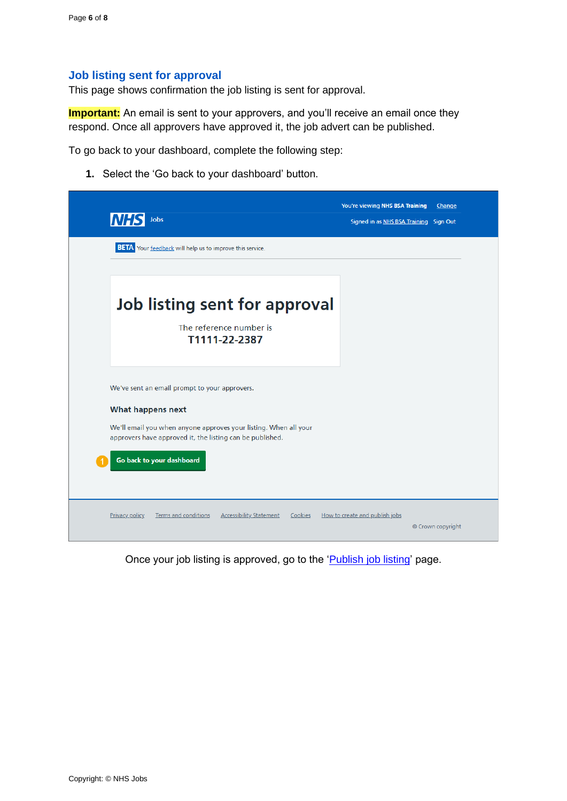#### <span id="page-5-0"></span>**Job listing sent for approval**

This page shows confirmation the job listing is sent for approval.

**Important:** An email is sent to your approvers, and you'll receive an email once they respond. Once all approvers have approved it, the job advert can be published.

To go back to your dashboard, complete the following step:

**1.** Select the 'Go back to your dashboard' button.



Once your job listing is approved, go to the ['Publish job](#page-6-0) listing' page.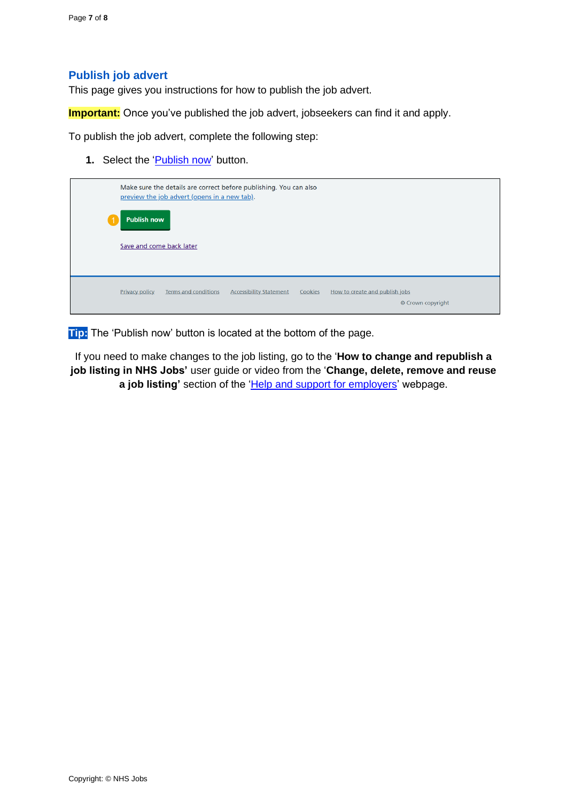### <span id="page-6-0"></span>**Publish job advert**

This page gives you instructions for how to publish the job advert.

**Important:** Once you've published the job advert, jobseekers can find it and apply.

To publish the job advert, complete the following step:

**1.** Select the '*Publish now*' button.

|                          | Make sure the details are correct before publishing. You can also<br>preview the job advert (opens in a new tab). |                      |                                |         |                                                     |  |  |
|--------------------------|-------------------------------------------------------------------------------------------------------------------|----------------------|--------------------------------|---------|-----------------------------------------------------|--|--|
| <b>Publish now</b>       |                                                                                                                   |                      |                                |         |                                                     |  |  |
| Save and come back later |                                                                                                                   |                      |                                |         |                                                     |  |  |
|                          |                                                                                                                   |                      |                                |         |                                                     |  |  |
|                          | Privacy policy                                                                                                    | Terms and conditions | <b>Accessibility Statement</b> | Cookies | How to create and publish jobs<br>© Crown copyright |  |  |

**Tip:** The 'Publish now' button is located at the bottom of the page.

If you need to make changes to the job listing, go to the '**How to change and republish a job listing in NHS Jobs'** user guide or video from the '**Change, delete, remove and reuse**  a job listing' section of the ['Help and support for employers'](https://www.nhsbsa.nhs.uk/new-nhs-jobs-service/help-and-support-employers) webpage.